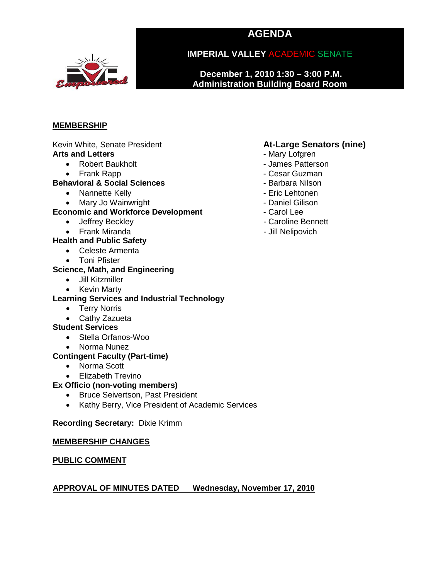# **AGENDA**



**IMPERIAL VALLEY** ACADEMIC SENATE

**December 1, 2010 1:30 – 3:00 P.M. Administration Building Board Room**

#### **MEMBERSHIP**

Kevin White, Senate President **At-Large Senators (nine)**<br> **Arts and Letters Arts and Letters** 

- Robert Baukholt  **Access Patterson** James Patterson
	-

#### • Frank Rapp - Cesar Guzman **Behavioral & Social Sciences**

- Nannette Kelly  **Eric Lehtonen**
- Mary Jo Wainwright **Communist Communist Communist Communist Communist Communist Communist Communist Communist Communist Communist Communist Communist Communist Communist Communist Communist Communist Communist Communist**

#### **Economic and Workforce Development** - Carol Lee

- Jeffrey Beckley  **Caroline Bennett**
- Frank Miranda Jill Nelipovich

#### **Health and Public Safety**

- Celeste Armenta
- Toni Pfister

### **Science, Math, and Engineering**

- Jill Kitzmiller
- Kevin Marty

#### **Learning Services and Industrial Technology**

- Terry Norris
- Cathy Zazueta

#### **Student Services**

- Stella Orfanos-Woo
- Norma Nunez

#### **Contingent Faculty (Part-time)**

- Norma Scott
- Elizabeth Trevino

#### **Ex Officio (non-voting members)**

- Bruce Seivertson, Past President
- Kathy Berry, Vice President of Academic Services

#### **Recording Secretary:** Dixie Krimm

#### **MEMBERSHIP CHANGES**

#### **PUBLIC COMMENT**

#### **APPROVAL OF MINUTES DATED Wednesday, November 17, 2010**

- Mary Lofgren
- 
- 
- 
- 
- 
- 
- 
-